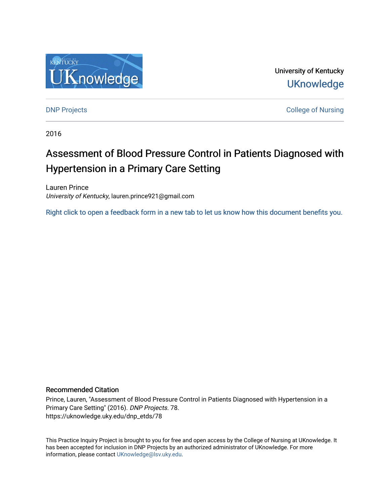

University of Kentucky **UKnowledge** 

[DNP Projects](https://uknowledge.uky.edu/dnp_etds) **College of Nursing** 

2016

# Assessment of Blood Pressure Control in Patients Diagnosed with Hypertension in a Primary Care Setting

Lauren Prince University of Kentucky, lauren.prince921@gmail.com

[Right click to open a feedback form in a new tab to let us know how this document benefits you.](https://uky.az1.qualtrics.com/jfe/form/SV_9mq8fx2GnONRfz7)

### Recommended Citation

Prince, Lauren, "Assessment of Blood Pressure Control in Patients Diagnosed with Hypertension in a Primary Care Setting" (2016). DNP Projects. 78. https://uknowledge.uky.edu/dnp\_etds/78

This Practice Inquiry Project is brought to you for free and open access by the College of Nursing at UKnowledge. It has been accepted for inclusion in DNP Projects by an authorized administrator of UKnowledge. For more information, please contact [UKnowledge@lsv.uky.edu](mailto:UKnowledge@lsv.uky.edu).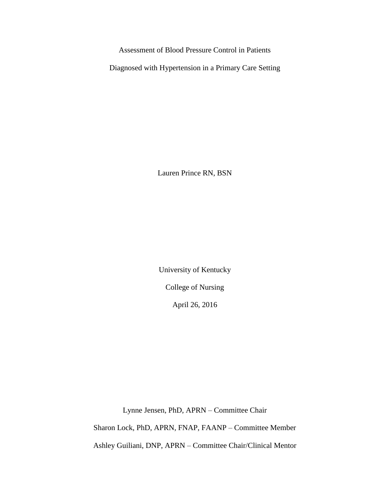Assessment of Blood Pressure Control in Patients

Diagnosed with Hypertension in a Primary Care Setting

Lauren Prince RN, BSN

University of Kentucky

College of Nursing

April 26, 2016

Lynne Jensen, PhD, APRN – Committee Chair

Sharon Lock, PhD, APRN, FNAP, FAANP – Committee Member

Ashley Guiliani, DNP, APRN – Committee Chair/Clinical Mentor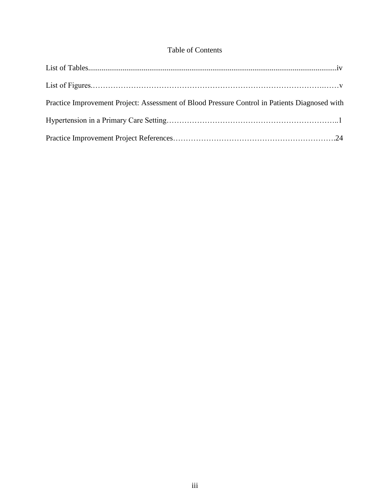### Table of Contents

| Practice Improvement Project: Assessment of Blood Pressure Control in Patients Diagnosed with |  |
|-----------------------------------------------------------------------------------------------|--|
|                                                                                               |  |
|                                                                                               |  |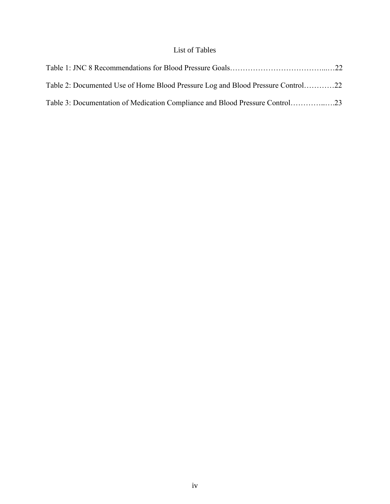## List of Tables

| Table 2: Documented Use of Home Blood Pressure Log and Blood Pressure Control22 |  |
|---------------------------------------------------------------------------------|--|
|                                                                                 |  |
|                                                                                 |  |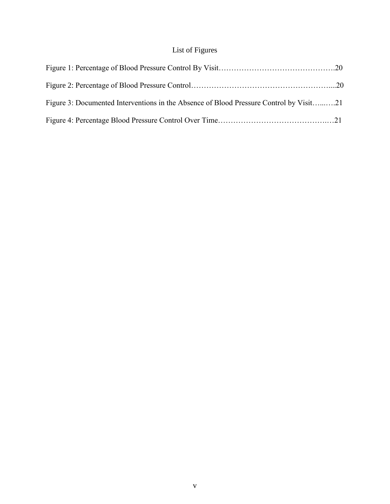## List of Figures

| Figure 3: Documented Interventions in the Absence of Blood Pressure Control by Visit21 |  |
|----------------------------------------------------------------------------------------|--|
|                                                                                        |  |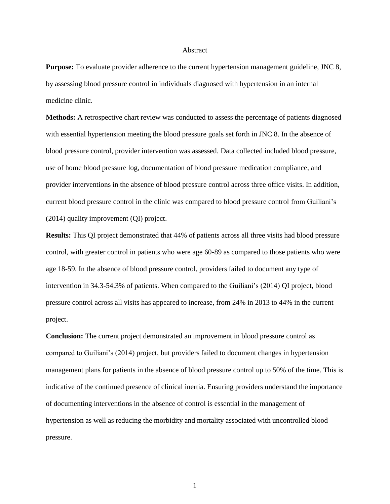#### Abstract

**Purpose:** To evaluate provider adherence to the current hypertension management guideline, JNC 8, by assessing blood pressure control in individuals diagnosed with hypertension in an internal medicine clinic.

**Methods:** A retrospective chart review was conducted to assess the percentage of patients diagnosed with essential hypertension meeting the blood pressure goals set forth in JNC 8. In the absence of blood pressure control, provider intervention was assessed. Data collected included blood pressure, use of home blood pressure log, documentation of blood pressure medication compliance, and provider interventions in the absence of blood pressure control across three office visits. In addition, current blood pressure control in the clinic was compared to blood pressure control from Guiliani's (2014) quality improvement (QI) project.

**Results:** This QI project demonstrated that 44% of patients across all three visits had blood pressure control, with greater control in patients who were age 60-89 as compared to those patients who were age 18-59. In the absence of blood pressure control, providers failed to document any type of intervention in 34.3-54.3% of patients. When compared to the Guiliani's (2014) QI project, blood pressure control across all visits has appeared to increase, from 24% in 2013 to 44% in the current project.

**Conclusion:** The current project demonstrated an improvement in blood pressure control as compared to Guiliani's (2014) project, but providers failed to document changes in hypertension management plans for patients in the absence of blood pressure control up to 50% of the time. This is indicative of the continued presence of clinical inertia. Ensuring providers understand the importance of documenting interventions in the absence of control is essential in the management of hypertension as well as reducing the morbidity and mortality associated with uncontrolled blood pressure.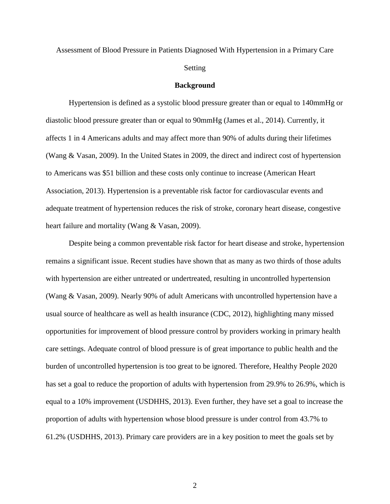## Assessment of Blood Pressure in Patients Diagnosed With Hypertension in a Primary Care Setting

#### **Background**

Hypertension is defined as a systolic blood pressure greater than or equal to 140mmHg or diastolic blood pressure greater than or equal to 90mmHg (James et al., 2014). Currently, it affects 1 in 4 Americans adults and may affect more than 90% of adults during their lifetimes (Wang & Vasan, 2009). In the United States in 2009, the direct and indirect cost of hypertension to Americans was \$51 billion and these costs only continue to increase (American Heart Association, 2013). Hypertension is a preventable risk factor for cardiovascular events and adequate treatment of hypertension reduces the risk of stroke, coronary heart disease, congestive heart failure and mortality (Wang & Vasan, 2009).

Despite being a common preventable risk factor for heart disease and stroke, hypertension remains a significant issue. Recent studies have shown that as many as two thirds of those adults with hypertension are either untreated or undertreated, resulting in uncontrolled hypertension (Wang & Vasan, 2009). Nearly 90% of adult Americans with uncontrolled hypertension have a usual source of healthcare as well as health insurance (CDC, 2012), highlighting many missed opportunities for improvement of blood pressure control by providers working in primary health care settings. Adequate control of blood pressure is of great importance to public health and the burden of uncontrolled hypertension is too great to be ignored. Therefore, Healthy People 2020 has set a goal to reduce the proportion of adults with hypertension from 29.9% to 26.9%, which is equal to a 10% improvement (USDHHS, 2013). Even further, they have set a goal to increase the proportion of adults with hypertension whose blood pressure is under control from 43.7% to 61.2% (USDHHS, 2013). Primary care providers are in a key position to meet the goals set by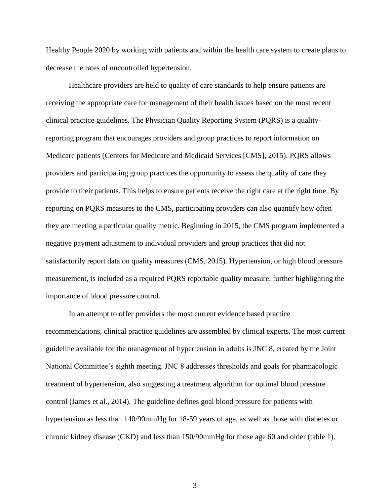Healthy People 2020 by working with patients and within the health care system to create plans to decrease the rates of uncontrolled hypertension.

Healthcare providers are held to quality of care standards to help ensure patients are receiving the appropriate care for management of their health issues based on the most recent clinical practice guidelines. The Physician Quality Reporting System (PQRS) is a qualityreporting program that encourages providers and group practices to report information on Medicare patients (Centers for Medicare and Medicaid Services [CMS], 2015). PQRS allows providers and participating group practices the opportunity to assess the quality of care they provide to their patients. This helps to ensure patients receive the right care at the right time. By reporting on PQRS measures to the CMS, participating providers can also quantify how often they are meeting a particular quality metric. Beginning in 2015, the CMS program implemented a negative payment adjustment to individual providers and group practices that did not satisfactorily report data on quality measures (CMS, 2015). Hypertension, or high blood pressure measurement, is included as a required PQRS reportable quality measure, further highlighting the importance of blood pressure control.

In an attempt to offer providers the most current evidence based practice recommendations, clinical practice guidelines are assembled by clinical experts. The most current guideline available for the management of hypertension in adults is JNC 8, created by the Joint National Committee's eighth meeting. JNC 8 addresses thresholds and goals for pharmacologic treatment of hypertension, also suggesting a treatment algorithm for optimal blood pressure control (James et al., 2014). The guideline defines goal blood pressure for patients with hypertension as less than 140/90mmHg for 18-59 years of age, as well as those with diabetes or chronic kidney disease (CKD) and less than 150/90mmHg for those age 60 and older (table 1).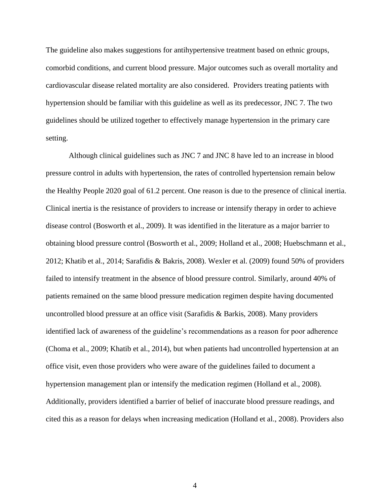The guideline also makes suggestions for antihypertensive treatment based on ethnic groups, comorbid conditions, and current blood pressure. Major outcomes such as overall mortality and cardiovascular disease related mortality are also considered. Providers treating patients with hypertension should be familiar with this guideline as well as its predecessor, JNC 7. The two guidelines should be utilized together to effectively manage hypertension in the primary care setting.

Although clinical guidelines such as JNC 7 and JNC 8 have led to an increase in blood pressure control in adults with hypertension, the rates of controlled hypertension remain below the Healthy People 2020 goal of 61.2 percent. One reason is due to the presence of clinical inertia. Clinical inertia is the resistance of providers to increase or intensify therapy in order to achieve disease control (Bosworth et al., 2009). It was identified in the literature as a major barrier to obtaining blood pressure control (Bosworth et al., 2009; Holland et al., 2008; Huebschmann et al., 2012; Khatib et al., 2014; Sarafidis & Bakris, 2008). Wexler et al. (2009) found 50% of providers failed to intensify treatment in the absence of blood pressure control. Similarly, around 40% of patients remained on the same blood pressure medication regimen despite having documented uncontrolled blood pressure at an office visit (Sarafidis & Barkis, 2008). Many providers identified lack of awareness of the guideline's recommendations as a reason for poor adherence (Choma et al., 2009; Khatib et al., 2014), but when patients had uncontrolled hypertension at an office visit, even those providers who were aware of the guidelines failed to document a hypertension management plan or intensify the medication regimen (Holland et al., 2008). Additionally, providers identified a barrier of belief of inaccurate blood pressure readings, and cited this as a reason for delays when increasing medication (Holland et al., 2008). Providers also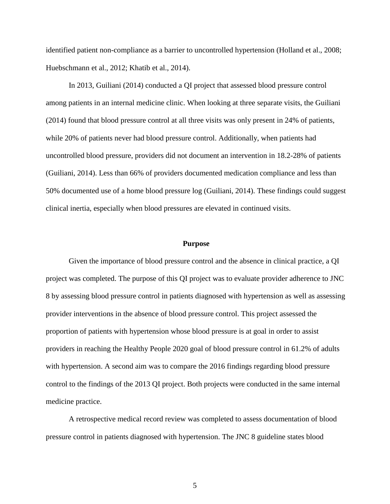identified patient non-compliance as a barrier to uncontrolled hypertension (Holland et al., 2008; Huebschmann et al., 2012; Khatib et al., 2014).

In 2013, Guiliani (2014) conducted a QI project that assessed blood pressure control among patients in an internal medicine clinic. When looking at three separate visits, the Guiliani (2014) found that blood pressure control at all three visits was only present in 24% of patients, while 20% of patients never had blood pressure control. Additionally, when patients had uncontrolled blood pressure, providers did not document an intervention in 18.2-28% of patients (Guiliani, 2014). Less than 66% of providers documented medication compliance and less than 50% documented use of a home blood pressure log (Guiliani, 2014). These findings could suggest clinical inertia, especially when blood pressures are elevated in continued visits.

#### **Purpose**

Given the importance of blood pressure control and the absence in clinical practice, a QI project was completed. The purpose of this QI project was to evaluate provider adherence to JNC 8 by assessing blood pressure control in patients diagnosed with hypertension as well as assessing provider interventions in the absence of blood pressure control. This project assessed the proportion of patients with hypertension whose blood pressure is at goal in order to assist providers in reaching the Healthy People 2020 goal of blood pressure control in 61.2% of adults with hypertension. A second aim was to compare the 2016 findings regarding blood pressure control to the findings of the 2013 QI project. Both projects were conducted in the same internal medicine practice.

A retrospective medical record review was completed to assess documentation of blood pressure control in patients diagnosed with hypertension. The JNC 8 guideline states blood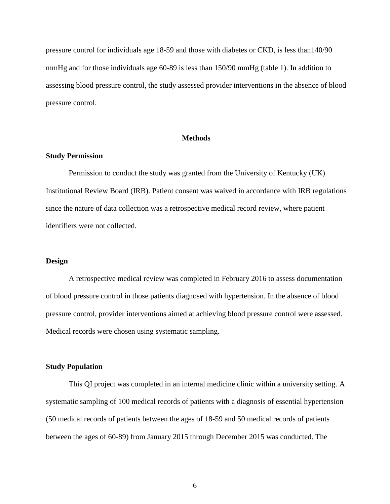pressure control for individuals age 18-59 and those with diabetes or CKD, is less than140/90 mmHg and for those individuals age 60-89 is less than 150/90 mmHg (table 1). In addition to assessing blood pressure control, the study assessed provider interventions in the absence of blood pressure control.

#### **Methods**

#### **Study Permission**

Permission to conduct the study was granted from the University of Kentucky (UK) Institutional Review Board (IRB). Patient consent was waived in accordance with IRB regulations since the nature of data collection was a retrospective medical record review, where patient identifiers were not collected.

#### **Design**

A retrospective medical review was completed in February 2016 to assess documentation of blood pressure control in those patients diagnosed with hypertension. In the absence of blood pressure control, provider interventions aimed at achieving blood pressure control were assessed. Medical records were chosen using systematic sampling.

#### **Study Population**

This QI project was completed in an internal medicine clinic within a university setting. A systematic sampling of 100 medical records of patients with a diagnosis of essential hypertension (50 medical records of patients between the ages of 18-59 and 50 medical records of patients between the ages of 60-89) from January 2015 through December 2015 was conducted. The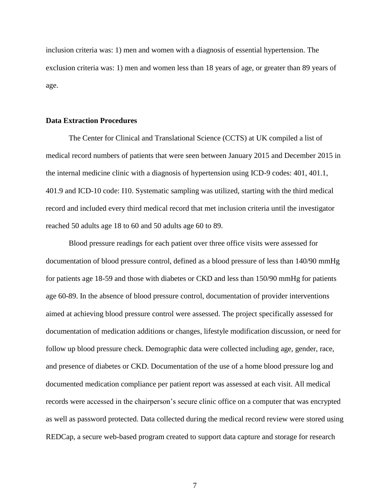inclusion criteria was: 1) men and women with a diagnosis of essential hypertension. The exclusion criteria was: 1) men and women less than 18 years of age, or greater than 89 years of age.

#### **Data Extraction Procedures**

The Center for Clinical and Translational Science (CCTS) at UK compiled a list of medical record numbers of patients that were seen between January 2015 and December 2015 in the internal medicine clinic with a diagnosis of hypertension using ICD-9 codes: 401, 401.1, 401.9 and ICD-10 code: I10. Systematic sampling was utilized, starting with the third medical record and included every third medical record that met inclusion criteria until the investigator reached 50 adults age 18 to 60 and 50 adults age 60 to 89.

Blood pressure readings for each patient over three office visits were assessed for documentation of blood pressure control, defined as a blood pressure of less than 140/90 mmHg for patients age 18-59 and those with diabetes or CKD and less than 150/90 mmHg for patients age 60-89. In the absence of blood pressure control, documentation of provider interventions aimed at achieving blood pressure control were assessed. The project specifically assessed for documentation of medication additions or changes, lifestyle modification discussion, or need for follow up blood pressure check. Demographic data were collected including age, gender, race, and presence of diabetes or CKD. Documentation of the use of a home blood pressure log and documented medication compliance per patient report was assessed at each visit. All medical records were accessed in the chairperson's secure clinic office on a computer that was encrypted as well as password protected. Data collected during the medical record review were stored using REDCap, a secure web-based program created to support data capture and storage for research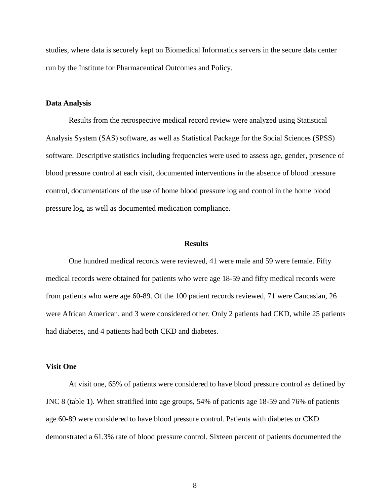studies, where data is securely kept on Biomedical Informatics servers in the secure data center run by the Institute for Pharmaceutical Outcomes and Policy.

#### **Data Analysis**

Results from the retrospective medical record review were analyzed using Statistical Analysis System (SAS) software, as well as Statistical Package for the Social Sciences (SPSS) software. Descriptive statistics including frequencies were used to assess age, gender, presence of blood pressure control at each visit, documented interventions in the absence of blood pressure control, documentations of the use of home blood pressure log and control in the home blood pressure log, as well as documented medication compliance.

#### **Results**

One hundred medical records were reviewed, 41 were male and 59 were female. Fifty medical records were obtained for patients who were age 18-59 and fifty medical records were from patients who were age 60-89. Of the 100 patient records reviewed, 71 were Caucasian, 26 were African American, and 3 were considered other. Only 2 patients had CKD, while 25 patients had diabetes, and 4 patients had both CKD and diabetes.

#### **Visit One**

At visit one, 65% of patients were considered to have blood pressure control as defined by JNC 8 (table 1). When stratified into age groups, 54% of patients age 18-59 and 76% of patients age 60-89 were considered to have blood pressure control. Patients with diabetes or CKD demonstrated a 61.3% rate of blood pressure control. Sixteen percent of patients documented the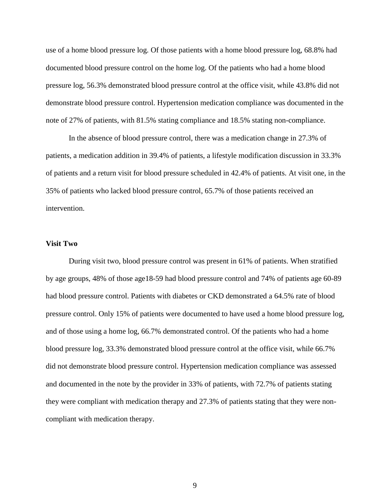use of a home blood pressure log. Of those patients with a home blood pressure log, 68.8% had documented blood pressure control on the home log. Of the patients who had a home blood pressure log, 56.3% demonstrated blood pressure control at the office visit, while 43.8% did not demonstrate blood pressure control. Hypertension medication compliance was documented in the note of 27% of patients, with 81.5% stating compliance and 18.5% stating non-compliance.

In the absence of blood pressure control, there was a medication change in 27.3% of patients, a medication addition in 39.4% of patients, a lifestyle modification discussion in 33.3% of patients and a return visit for blood pressure scheduled in 42.4% of patients. At visit one, in the 35% of patients who lacked blood pressure control, 65.7% of those patients received an intervention.

#### **Visit Two**

During visit two, blood pressure control was present in 61% of patients. When stratified by age groups, 48% of those age18-59 had blood pressure control and 74% of patients age 60-89 had blood pressure control. Patients with diabetes or CKD demonstrated a 64.5% rate of blood pressure control. Only 15% of patients were documented to have used a home blood pressure log, and of those using a home log, 66.7% demonstrated control. Of the patients who had a home blood pressure log, 33.3% demonstrated blood pressure control at the office visit, while 66.7% did not demonstrate blood pressure control. Hypertension medication compliance was assessed and documented in the note by the provider in 33% of patients, with 72.7% of patients stating they were compliant with medication therapy and 27.3% of patients stating that they were noncompliant with medication therapy.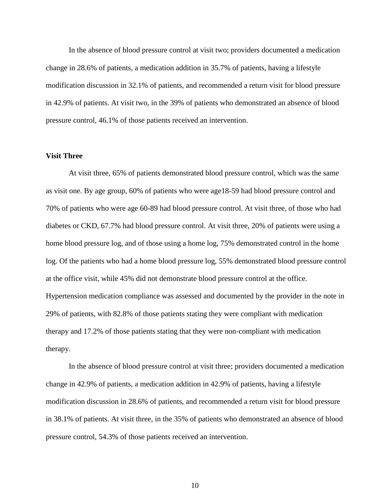In the absence of blood pressure control at visit two; providers documented a medication change in 28.6% of patients, a medication addition in 35.7% of patients, having a lifestyle modification discussion in 32.1% of patients, and recommended a return visit for blood pressure in 42.9% of patients. At visit two, in the 39% of patients who demonstrated an absence of blood pressure control, 46.1% of those patients received an intervention.

#### **Visit Three**

At visit three, 65% of patients demonstrated blood pressure control, which was the same as visit one. By age group, 60% of patients who were age18-59 had blood pressure control and 70% of patients who were age 60-89 had blood pressure control. At visit three, of those who had diabetes or CKD, 67.7% had blood pressure control. At visit three, 20% of patients were using a home blood pressure log, and of those using a home log, 75% demonstrated control in the home log. Of the patients who had a home blood pressure log, 55% demonstrated blood pressure control at the office visit, while 45% did not demonstrate blood pressure control at the office. Hypertension medication compliance was assessed and documented by the provider in the note in 29% of patients, with 82.8% of those patients stating they were compliant with medication therapy and 17.2% of those patients stating that they were non-compliant with medication therapy.

In the absence of blood pressure control at visit three; providers documented a medication change in 42.9% of patients, a medication addition in 42.9% of patients, having a lifestyle modification discussion in 28.6% of patients, and recommended a return visit for blood pressure in 38.1% of patients. At visit three, in the 35% of patients who demonstrated an absence of blood pressure control, 54.3% of those patients received an intervention.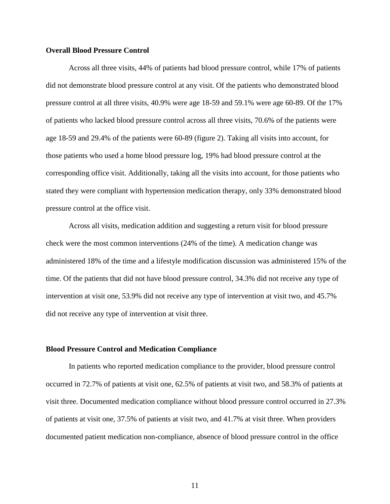#### **Overall Blood Pressure Control**

Across all three visits, 44% of patients had blood pressure control, while 17% of patients did not demonstrate blood pressure control at any visit. Of the patients who demonstrated blood pressure control at all three visits, 40.9% were age 18-59 and 59.1% were age 60-89. Of the 17% of patients who lacked blood pressure control across all three visits, 70.6% of the patients were age 18-59 and 29.4% of the patients were 60-89 (figure 2). Taking all visits into account, for those patients who used a home blood pressure log, 19% had blood pressure control at the corresponding office visit. Additionally, taking all the visits into account, for those patients who stated they were compliant with hypertension medication therapy, only 33% demonstrated blood pressure control at the office visit.

Across all visits, medication addition and suggesting a return visit for blood pressure check were the most common interventions (24% of the time). A medication change was administered 18% of the time and a lifestyle modification discussion was administered 15% of the time. Of the patients that did not have blood pressure control, 34.3% did not receive any type of intervention at visit one, 53.9% did not receive any type of intervention at visit two, and 45.7% did not receive any type of intervention at visit three.

#### **Blood Pressure Control and Medication Compliance**

In patients who reported medication compliance to the provider, blood pressure control occurred in 72.7% of patients at visit one, 62.5% of patients at visit two, and 58.3% of patients at visit three. Documented medication compliance without blood pressure control occurred in 27.3% of patients at visit one, 37.5% of patients at visit two, and 41.7% at visit three. When providers documented patient medication non-compliance, absence of blood pressure control in the office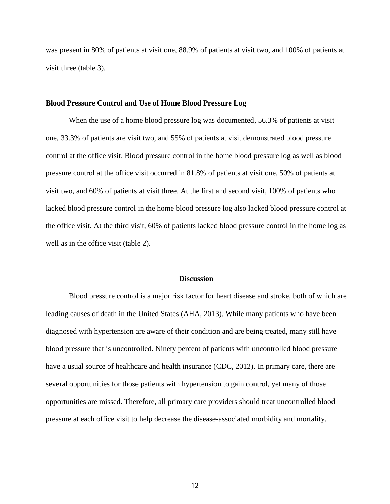was present in 80% of patients at visit one, 88.9% of patients at visit two, and 100% of patients at visit three (table 3).

#### **Blood Pressure Control and Use of Home Blood Pressure Log**

When the use of a home blood pressure log was documented, 56.3% of patients at visit one, 33.3% of patients are visit two, and 55% of patients at visit demonstrated blood pressure control at the office visit. Blood pressure control in the home blood pressure log as well as blood pressure control at the office visit occurred in 81.8% of patients at visit one, 50% of patients at visit two, and 60% of patients at visit three. At the first and second visit, 100% of patients who lacked blood pressure control in the home blood pressure log also lacked blood pressure control at the office visit. At the third visit, 60% of patients lacked blood pressure control in the home log as well as in the office visit (table 2).

#### **Discussion**

Blood pressure control is a major risk factor for heart disease and stroke, both of which are leading causes of death in the United States (AHA, 2013). While many patients who have been diagnosed with hypertension are aware of their condition and are being treated, many still have blood pressure that is uncontrolled. Ninety percent of patients with uncontrolled blood pressure have a usual source of healthcare and health insurance (CDC, 2012). In primary care, there are several opportunities for those patients with hypertension to gain control, yet many of those opportunities are missed. Therefore, all primary care providers should treat uncontrolled blood pressure at each office visit to help decrease the disease-associated morbidity and mortality.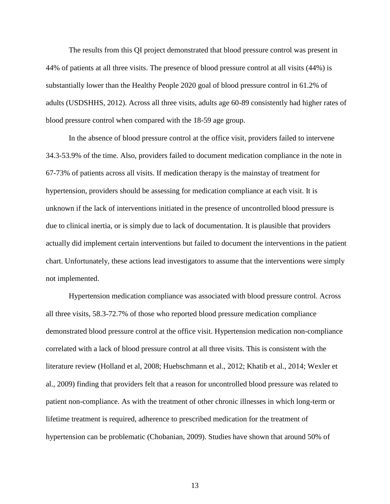The results from this QI project demonstrated that blood pressure control was present in 44% of patients at all three visits. The presence of blood pressure control at all visits (44%) is substantially lower than the Healthy People 2020 goal of blood pressure control in 61.2% of adults (USDSHHS, 2012). Across all three visits, adults age 60-89 consistently had higher rates of blood pressure control when compared with the 18-59 age group.

In the absence of blood pressure control at the office visit, providers failed to intervene 34.3-53.9% of the time. Also, providers failed to document medication compliance in the note in 67-73% of patients across all visits. If medication therapy is the mainstay of treatment for hypertension, providers should be assessing for medication compliance at each visit. It is unknown if the lack of interventions initiated in the presence of uncontrolled blood pressure is due to clinical inertia, or is simply due to lack of documentation. It is plausible that providers actually did implement certain interventions but failed to document the interventions in the patient chart. Unfortunately, these actions lead investigators to assume that the interventions were simply not implemented.

Hypertension medication compliance was associated with blood pressure control. Across all three visits, 58.3-72.7% of those who reported blood pressure medication compliance demonstrated blood pressure control at the office visit. Hypertension medication non-compliance correlated with a lack of blood pressure control at all three visits. This is consistent with the literature review (Holland et al, 2008; Huebschmann et al., 2012; Khatib et al., 2014; Wexler et al., 2009) finding that providers felt that a reason for uncontrolled blood pressure was related to patient non-compliance. As with the treatment of other chronic illnesses in which long-term or lifetime treatment is required, adherence to prescribed medication for the treatment of hypertension can be problematic (Chobanian, 2009). Studies have shown that around 50% of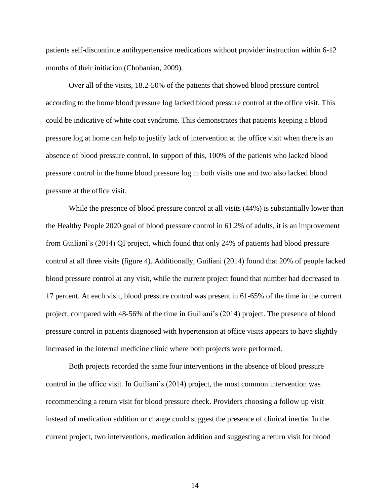patients self-discontinue antihypertensive medications without provider instruction within 6-12 months of their initiation (Chobanian, 2009).

Over all of the visits, 18.2-50% of the patients that showed blood pressure control according to the home blood pressure log lacked blood pressure control at the office visit. This could be indicative of white coat syndrome. This demonstrates that patients keeping a blood pressure log at home can help to justify lack of intervention at the office visit when there is an absence of blood pressure control. In support of this, 100% of the patients who lacked blood pressure control in the home blood pressure log in both visits one and two also lacked blood pressure at the office visit.

While the presence of blood pressure control at all visits  $(44%)$  is substantially lower than the Healthy People 2020 goal of blood pressure control in 61.2% of adults, it is an improvement from Guiliani's (2014) QI project, which found that only 24% of patients had blood pressure control at all three visits (figure 4). Additionally, Guiliani (2014) found that 20% of people lacked blood pressure control at any visit, while the current project found that number had decreased to 17 percent. At each visit, blood pressure control was present in 61-65% of the time in the current project, compared with 48-56% of the time in Guiliani's (2014) project. The presence of blood pressure control in patients diagnosed with hypertension at office visits appears to have slightly increased in the internal medicine clinic where both projects were performed.

Both projects recorded the same four interventions in the absence of blood pressure control in the office visit. In Guiliani's (2014) project, the most common intervention was recommending a return visit for blood pressure check. Providers choosing a follow up visit instead of medication addition or change could suggest the presence of clinical inertia. In the current project, two interventions, medication addition and suggesting a return visit for blood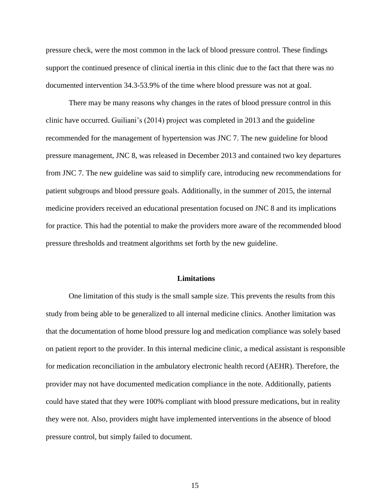pressure check, were the most common in the lack of blood pressure control. These findings support the continued presence of clinical inertia in this clinic due to the fact that there was no documented intervention 34.3-53.9% of the time where blood pressure was not at goal.

There may be many reasons why changes in the rates of blood pressure control in this clinic have occurred. Guiliani's (2014) project was completed in 2013 and the guideline recommended for the management of hypertension was JNC 7. The new guideline for blood pressure management, JNC 8, was released in December 2013 and contained two key departures from JNC 7. The new guideline was said to simplify care, introducing new recommendations for patient subgroups and blood pressure goals. Additionally, in the summer of 2015, the internal medicine providers received an educational presentation focused on JNC 8 and its implications for practice. This had the potential to make the providers more aware of the recommended blood pressure thresholds and treatment algorithms set forth by the new guideline.

#### **Limitations**

One limitation of this study is the small sample size. This prevents the results from this study from being able to be generalized to all internal medicine clinics. Another limitation was that the documentation of home blood pressure log and medication compliance was solely based on patient report to the provider. In this internal medicine clinic, a medical assistant is responsible for medication reconciliation in the ambulatory electronic health record (AEHR). Therefore, the provider may not have documented medication compliance in the note. Additionally, patients could have stated that they were 100% compliant with blood pressure medications, but in reality they were not. Also, providers might have implemented interventions in the absence of blood pressure control, but simply failed to document.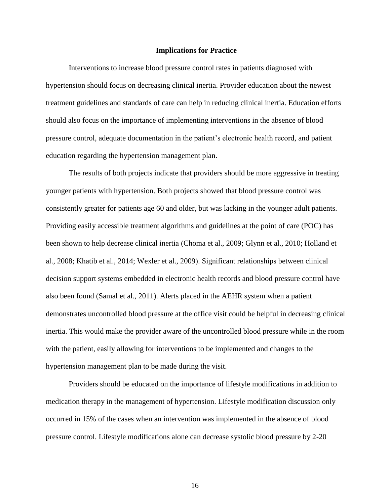#### **Implications for Practice**

Interventions to increase blood pressure control rates in patients diagnosed with hypertension should focus on decreasing clinical inertia. Provider education about the newest treatment guidelines and standards of care can help in reducing clinical inertia. Education efforts should also focus on the importance of implementing interventions in the absence of blood pressure control, adequate documentation in the patient's electronic health record, and patient education regarding the hypertension management plan.

The results of both projects indicate that providers should be more aggressive in treating younger patients with hypertension. Both projects showed that blood pressure control was consistently greater for patients age 60 and older, but was lacking in the younger adult patients. Providing easily accessible treatment algorithms and guidelines at the point of care (POC) has been shown to help decrease clinical inertia (Choma et al., 2009; Glynn et al., 2010; Holland et al., 2008; Khatib et al., 2014; Wexler et al., 2009). Significant relationships between clinical decision support systems embedded in electronic health records and blood pressure control have also been found (Samal et al., 2011). Alerts placed in the AEHR system when a patient demonstrates uncontrolled blood pressure at the office visit could be helpful in decreasing clinical inertia. This would make the provider aware of the uncontrolled blood pressure while in the room with the patient, easily allowing for interventions to be implemented and changes to the hypertension management plan to be made during the visit.

Providers should be educated on the importance of lifestyle modifications in addition to medication therapy in the management of hypertension. Lifestyle modification discussion only occurred in 15% of the cases when an intervention was implemented in the absence of blood pressure control. Lifestyle modifications alone can decrease systolic blood pressure by 2-20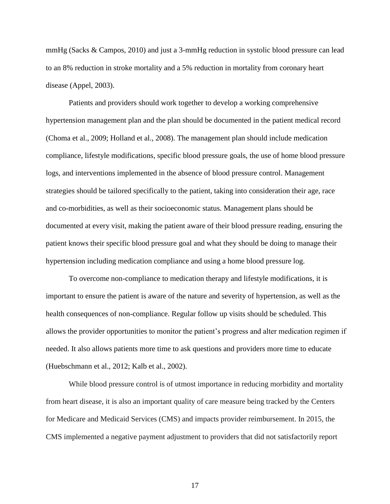mmHg (Sacks & Campos, 2010) and just a 3-mmHg reduction in systolic blood pressure can lead to an 8% reduction in stroke mortality and a 5% reduction in mortality from coronary heart disease (Appel, 2003).

Patients and providers should work together to develop a working comprehensive hypertension management plan and the plan should be documented in the patient medical record (Choma et al., 2009; Holland et al., 2008). The management plan should include medication compliance, lifestyle modifications, specific blood pressure goals, the use of home blood pressure logs, and interventions implemented in the absence of blood pressure control. Management strategies should be tailored specifically to the patient, taking into consideration their age, race and co-morbidities, as well as their socioeconomic status. Management plans should be documented at every visit, making the patient aware of their blood pressure reading, ensuring the patient knows their specific blood pressure goal and what they should be doing to manage their hypertension including medication compliance and using a home blood pressure log.

To overcome non-compliance to medication therapy and lifestyle modifications, it is important to ensure the patient is aware of the nature and severity of hypertension, as well as the health consequences of non-compliance. Regular follow up visits should be scheduled. This allows the provider opportunities to monitor the patient's progress and alter medication regimen if needed. It also allows patients more time to ask questions and providers more time to educate (Huebschmann et al., 2012; Kalb et al., 2002).

While blood pressure control is of utmost importance in reducing morbidity and mortality from heart disease, it is also an important quality of care measure being tracked by the Centers for Medicare and Medicaid Services (CMS) and impacts provider reimbursement. In 2015, the CMS implemented a negative payment adjustment to providers that did not satisfactorily report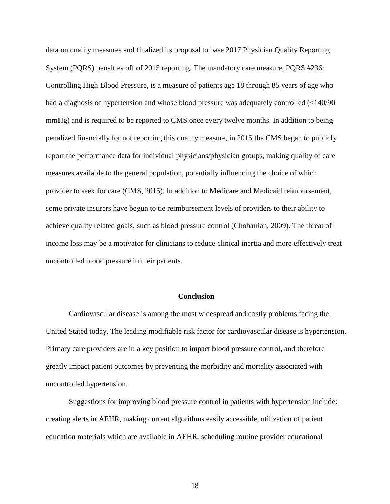data on quality measures and finalized its proposal to base 2017 Physician Quality Reporting System (PQRS) penalties off of 2015 reporting. The mandatory care measure, PQRS #236: Controlling High Blood Pressure, is a measure of patients age 18 through 85 years of age who had a diagnosis of hypertension and whose blood pressure was adequately controlled (<140/90 mmHg) and is required to be reported to CMS once every twelve months. In addition to being penalized financially for not reporting this quality measure, in 2015 the CMS began to publicly report the performance data for individual physicians/physician groups, making quality of care measures available to the general population, potentially influencing the choice of which provider to seek for care (CMS, 2015). In addition to Medicare and Medicaid reimbursement, some private insurers have begun to tie reimbursement levels of providers to their ability to achieve quality related goals, such as blood pressure control (Chobanian, 2009). The threat of income loss may be a motivator for clinicians to reduce clinical inertia and more effectively treat uncontrolled blood pressure in their patients.

#### **Conclusion**

Cardiovascular disease is among the most widespread and costly problems facing the United Stated today. The leading modifiable risk factor for cardiovascular disease is hypertension. Primary care providers are in a key position to impact blood pressure control, and therefore greatly impact patient outcomes by preventing the morbidity and mortality associated with uncontrolled hypertension.

Suggestions for improving blood pressure control in patients with hypertension include: creating alerts in AEHR, making current algorithms easily accessible, utilization of patient education materials which are available in AEHR, scheduling routine provider educational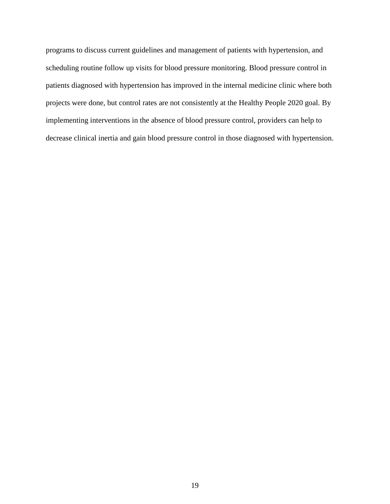programs to discuss current guidelines and management of patients with hypertension, and scheduling routine follow up visits for blood pressure monitoring. Blood pressure control in patients diagnosed with hypertension has improved in the internal medicine clinic where both projects were done, but control rates are not consistently at the Healthy People 2020 goal. By implementing interventions in the absence of blood pressure control, providers can help to decrease clinical inertia and gain blood pressure control in those diagnosed with hypertension.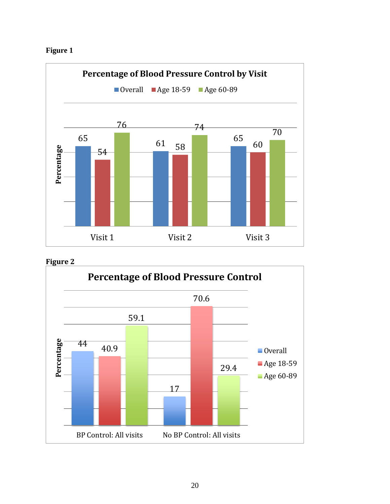





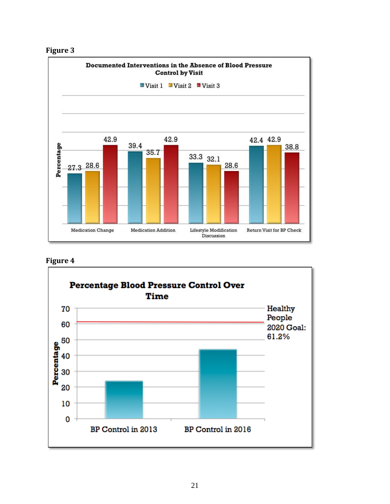



## **Figure 4**

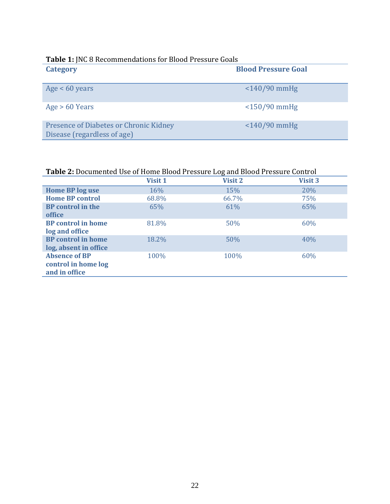| <b>Table 1: JNC 8 Recommendations for Blood Pressure Goals</b> |  |  |  |  |
|----------------------------------------------------------------|--|--|--|--|
| <b>Blood Pressure Goal</b>                                     |  |  |  |  |
|                                                                |  |  |  |  |
|                                                                |  |  |  |  |
|                                                                |  |  |  |  |
|                                                                |  |  |  |  |
|                                                                |  |  |  |  |

| <b>Table 2:</b> Documented Use of Home Blood Pressure Log and Blood Pressure Control |         |                |         |  |  |
|--------------------------------------------------------------------------------------|---------|----------------|---------|--|--|
|                                                                                      | Visit 1 | <b>Visit 2</b> | Visit 3 |  |  |
| <b>Home BP log use</b>                                                               | 16%     | 15%            | 20%     |  |  |
| <b>Home BP control</b>                                                               | 68.8%   | 66.7%          | 75%     |  |  |
| <b>BP</b> control in the                                                             | 65%     | 61%            | 65%     |  |  |
| office                                                                               |         |                |         |  |  |
| <b>BP</b> control in home                                                            | 81.8%   | 50%            | 60%     |  |  |
| log and office                                                                       |         |                |         |  |  |
| <b>BP</b> control in home                                                            | 18.2%   | 50%            | 40%     |  |  |
| log, absent in office                                                                |         |                |         |  |  |
| <b>Absence of BP</b>                                                                 | 100%    | 100%           | 60%     |  |  |
| control in home log                                                                  |         |                |         |  |  |
| and in office                                                                        |         |                |         |  |  |

## **Table 2:** Documented Use of Home Blood Pressure Log and Blood Pressure Control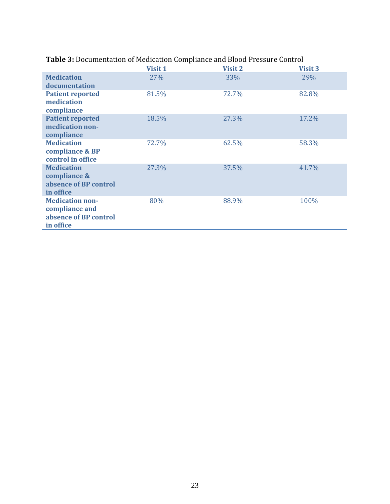|                                                      |         | or Boodinontation of Prodication compliance and Brood Fressure contro |                |
|------------------------------------------------------|---------|-----------------------------------------------------------------------|----------------|
|                                                      | Visit 1 | <b>Visit 2</b>                                                        | <b>Visit 3</b> |
| <b>Medication</b>                                    | 27%     | 33%                                                                   | 29%            |
| documentation                                        |         |                                                                       |                |
| <b>Patient reported</b><br>medication<br>compliance  | 81.5%   | 72.7%                                                                 | 82.8%          |
| <b>Patient reported</b>                              | 18.5%   | 27.3%                                                                 | 17.2%          |
| medication non-<br>compliance                        |         |                                                                       |                |
| <b>Medication</b>                                    | 72.7%   | 62.5%                                                                 | 58.3%          |
| compliance & BP<br>control in office                 |         |                                                                       |                |
| <b>Medication</b>                                    | 27.3%   | 37.5%                                                                 | 41.7%          |
| compliance &                                         |         |                                                                       |                |
| absence of BP control<br>in office                   |         |                                                                       |                |
| <b>Medication non-</b>                               | 80%     | 88.9%                                                                 | 100%           |
| compliance and<br>absence of BP control<br>in office |         |                                                                       |                |
|                                                      |         |                                                                       |                |

### **Table 3:** Documentation of Medication Compliance and Blood Pressure Control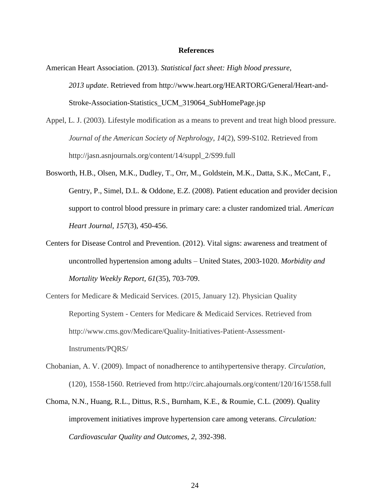#### **References**

- American Heart Association. (2013). *Statistical fact sheet: High blood pressure, 2013 update*. Retrieved from http://www.heart.org/HEARTORG/General/Heart-and-Stroke-Association-Statistics\_UCM\_319064\_SubHomePage.jsp
- Appel, L. J. (2003). Lifestyle modification as a means to prevent and treat high blood pressure. *Journal of the American Society of Nephrology*, *14*(2), S99-S102. Retrieved from http://jasn.asnjournals.org/content/14/suppl\_2/S99.full
- Bosworth, H.B., Olsen, M.K., Dudley, T., Orr, M., Goldstein, M.K., Datta, S.K., McCant, F., Gentry, P., Simel, D.L. & Oddone, E.Z. (2008). Patient education and provider decision support to control blood pressure in primary care: a cluster randomized trial. *American Heart Journal, 157*(3), 450-456.
- Centers for Disease Control and Prevention. (2012). Vital signs: awareness and treatment of uncontrolled hypertension among adults – United States, 2003-1020. *Morbidity and Mortality Weekly Report, 61*(35), 703-709.
- Centers for Medicare & Medicaid Services. (2015, January 12). Physician Quality Reporting System - Centers for Medicare & Medicaid Services. Retrieved from http://www.cms.gov/Medicare/Quality-Initiatives-Patient-Assessment-Instruments/PQRS/
- Chobanian, A. V. (2009). Impact of nonadherence to antihypertensive therapy. *Circulation*, (120), 1558-1560. Retrieved from http://circ.ahajournals.org/content/120/16/1558.full
- Choma, N.N., Huang, R.L., Dittus, R.S., Burnham, K.E., & Roumie, C.L. (2009). Quality improvement initiatives improve hypertension care among veterans. *Circulation: Cardiovascular Quality and Outcomes, 2,* 392-398.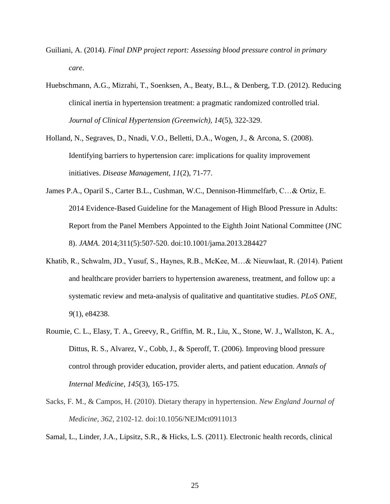- Guiliani, A. (2014). *Final DNP project report: Assessing blood pressure control in primary care*.
- Huebschmann, A.G., Mizrahi, T., Soenksen, A., Beaty, B.L., & Denberg, T.D. (2012). Reducing clinical inertia in hypertension treatment: a pragmatic randomized controlled trial. *Journal of Clinical Hypertension (Greenwich), 14*(5), 322-329.
- Holland, N., Segraves, D., Nnadi, V.O., Belletti, D.A., Wogen, J., & Arcona, S. (2008). Identifying barriers to hypertension care: implications for quality improvement initiatives. *Disease Management, 11*(2), 71-77.
- James P.A., Oparil S., Carter B.L., Cushman, W.C., Dennison-Himmelfarb, C…& Ortiz, E. 2014 Evidence-Based Guideline for the Management of High Blood Pressure in Adults: Report from the Panel Members Appointed to the Eighth Joint National Committee (JNC 8). *JAMA*. 2014;311(5):507-520. doi:10.1001/jama.2013.284427
- Khatib, R., Schwalm, JD., Yusuf, S., Haynes, R.B., McKee, M…& Nieuwlaat, R. (2014). Patient and healthcare provider barriers to hypertension awareness, treatment, and follow up: a systematic review and meta-analysis of qualitative and quantitative studies. *PLoS ONE, 9*(1), e84238.
- Roumie, C. L., Elasy, T. A., Greevy, R., Griffin, M. R., Liu, X., Stone, W. J., Wallston, K. A., Dittus, R. S., Alvarez, V., Cobb, J., & Speroff, T. (2006). Improving blood pressure control through provider education, provider alerts, and patient education. *Annals of Internal Medicine*, *145*(3), 165-175.
- Sacks, F. M., & Campos, H. (2010). Dietary therapy in hypertension. *New England Journal of Medicine*, *362*, 2102-12. doi:10.1056/NEJMct0911013

Samal, L., Linder, J.A., Lipsitz, S.R., & Hicks, L.S. (2011). Electronic health records, clinical